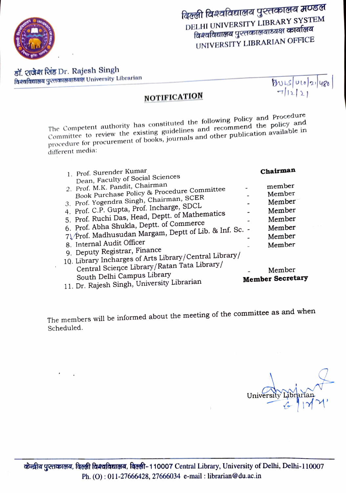

डॉ. शजेश शिंह Dr. Rajesh Singh विश्वविद्यालय पुस्तकालयाध्यक्ष University Librarian

 $BUS|Ub|2|480$ 

## **NOTIFICATION**

The Competent authority has constituted the following Policy and Procedure Committee to review the existing guidelines and recommend the policy and procedure for procurement of books, journals and other publication available in different media:

| 1. Prof. Surender Kumar<br>Dean, Faculty of Social Sciences                                                                                                                                                                                                                                                                                                                                | Chairman                                                                     |
|--------------------------------------------------------------------------------------------------------------------------------------------------------------------------------------------------------------------------------------------------------------------------------------------------------------------------------------------------------------------------------------------|------------------------------------------------------------------------------|
| 2. Prof. M.K. Pandit, Chairman<br>Book Purchase Policy & Procedure Committee<br>3. Prof. Yogendra Singh, Chairman, SCER<br>4. Prof. C.P. Gupta, Prof. Incharge, SDCL<br>5. Prof. Ruchi Das, Head, Deptt. of Mathematics<br>6. Prof. Abha Shukla, Deptt. of Commerce<br>7\/Prof. Madhusudan Margam, Deptt of Lib. & Inf. Sc. -<br>8. Internal Audit Officer<br>9. Deputy Registrar, Finance | member<br>Member<br>Member<br>Member<br>Member<br>Member<br>Member<br>Member |
| 10. Library Incharges of Arts Library/Central Library/<br>Central Science Library/Ratan Tata Library/<br>South Delhi Campus Library<br>11. Dr. Rajesh Singh, University Librarian                                                                                                                                                                                                          | Member<br><b>Member Secretary</b>                                            |

The members will be informed about the meeting of the committee as and when Scheduled.

University Libi